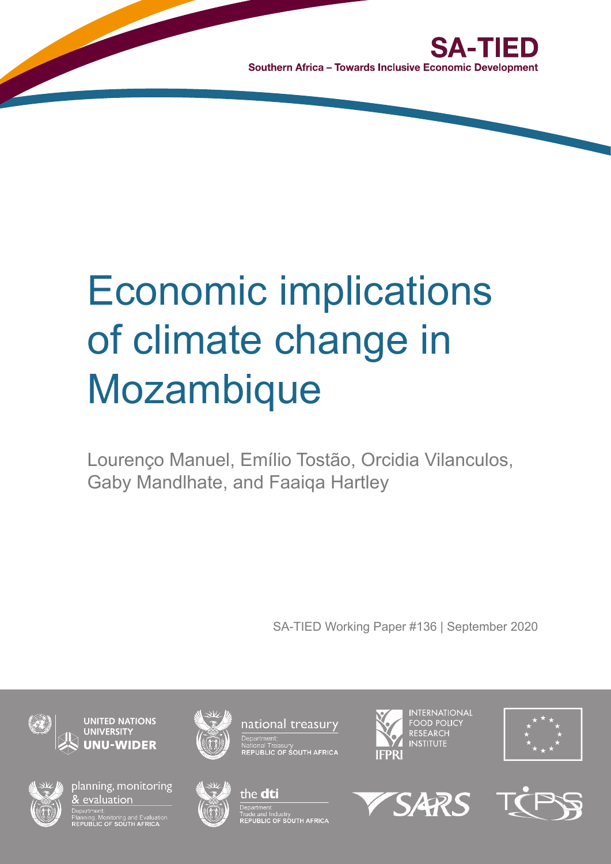

Southern Africa - Towards Inclusive Economic Development

# Economic implications of climate change in **Mozambique**

Lourenço Manuel, Emílio Tostão, Orcidia Vilanculos, Gaby Mandlhate, and Faaiqa Hartley

SA-TIED Working Paper #136 | September 2020



**UNITED NATIONS UNU-WIDER** 



planning, monitoring & evaluation

-<br>Planning, Monitoring and Evaluatio<br>REPUBLIC OF SOUTH AFRICA





epartment

national treasury

vational Treasury<br>REPUBLIC OF SOUTH AFRICA



SARS

**INTERNATIONAL** 



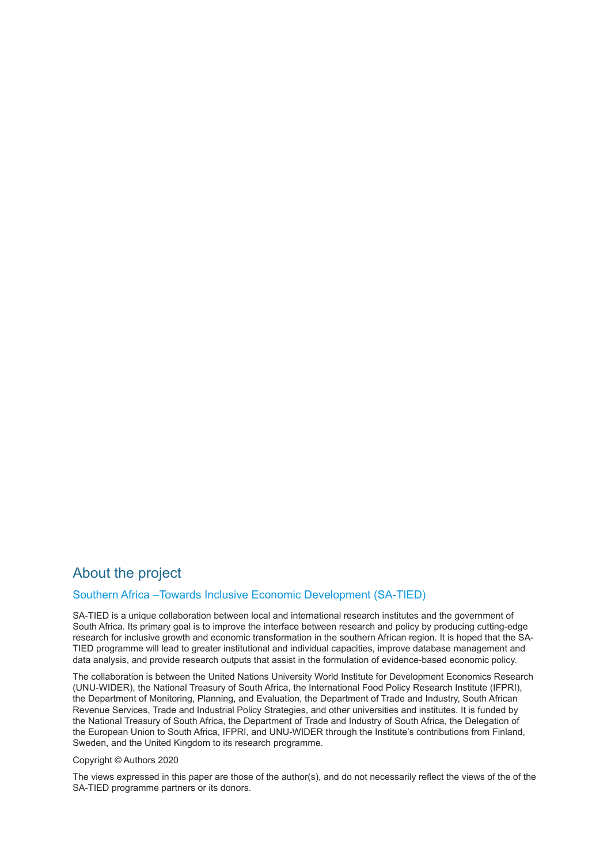# About the project

#### [Southern Africa –Towards Inclusive Economic Development \(SA-TIED\)](http://sa-tied.wider.unu.edu/)

SA-TIED is a unique collaboration between local and international research institutes and the government of South Africa. Its primary goal is to improve the interface between research and policy by producing cutting-edge research for inclusive growth and economic transformation in the southern African region. It is hoped that the SA-TIED programme will lead to greater institutional and individual capacities, improve database management and data analysis, and provide research outputs that assist in the formulation of evidence-based economic policy.

The collaboration is between the United Nations University World Institute for Development Economics Research (UNU-WIDER), the National Treasury of South Africa, the International Food Policy Research Institute (IFPRI), the Department of Monitoring, Planning, and Evaluation, the Department of Trade and Industry, South African Revenue Services, Trade and Industrial Policy Strategies, and other universities and institutes. It is funded by the National Treasury of South Africa, the Department of Trade and Industry of South Africa, the Delegation of the European Union to South Africa, IFPRI, and UNU-WIDER through the Institute's contributions from Finland, Sweden, and the United Kingdom to its research programme.

#### Copyright © Authors 2020

The views expressed in this paper are those of the author(s), and do not necessarily reflect the views of the of the SA-TIED programme partners or its donors.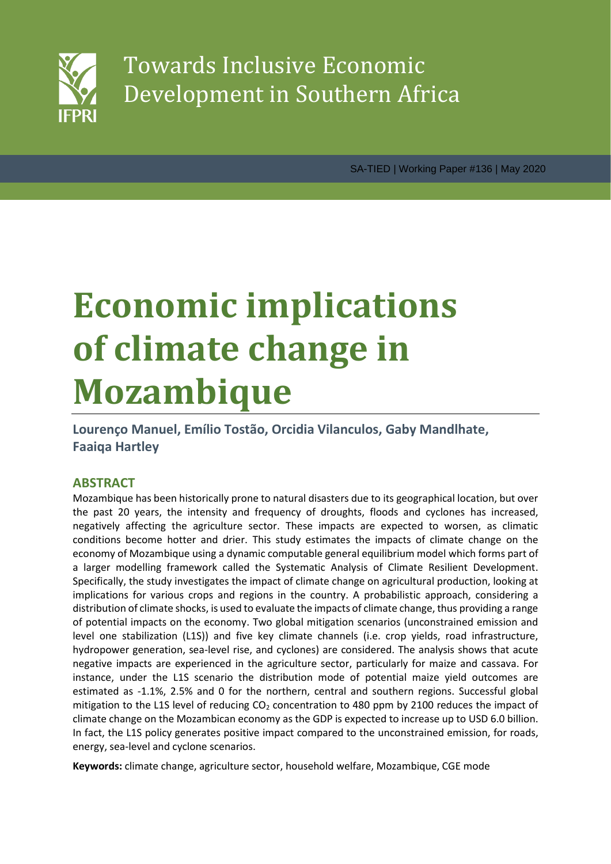

SA-TIED | Working Paper #136 | May 2020

# **Economic implications of climate change in Mozambique**

**Lourenço Manuel, Emílio Tostão, Orcidia Vilanculos, Gaby Mandlhate, Faaiqa Hartley**

# **ABSTRACT**

Mozambique has been historically prone to natural disasters due to its geographical location, but over the past 20 years, the intensity and frequency of droughts, floods and cyclones has increased, negatively affecting the agriculture sector. These impacts are expected to worsen, as climatic conditions become hotter and drier. This study estimates the impacts of climate change on the economy of Mozambique using a dynamic computable general equilibrium model which forms part of a larger modelling framework called the Systematic Analysis of Climate Resilient Development. Specifically, the study investigates the impact of climate change on agricultural production, looking at implications for various crops and regions in the country. A probabilistic approach, considering a distribution of climate shocks, is used to evaluate the impacts of climate change, thus providing a range of potential impacts on the economy. Two global mitigation scenarios (unconstrained emission and level one stabilization (L1S)) and five key climate channels (i.e. crop yields, road infrastructure, hydropower generation, sea-level rise, and cyclones) are considered. The analysis shows that acute negative impacts are experienced in the agriculture sector, particularly for maize and cassava. For instance, under the L1S scenario the distribution mode of potential maize yield outcomes are estimated as -1.1%, 2.5% and 0 for the northern, central and southern regions. Successful global mitigation to the L1S level of reducing  $CO<sub>2</sub>$  concentration to 480 ppm by 2100 reduces the impact of climate change on the Mozambican economy as the GDP is expected to increase up to USD 6.0 billion. In fact, the L1S policy generates positive impact compared to the unconstrained emission, for roads, energy, sea-level and cyclone scenarios.

**Keywords:** climate change, agriculture sector, household welfare, Mozambique, CGE mode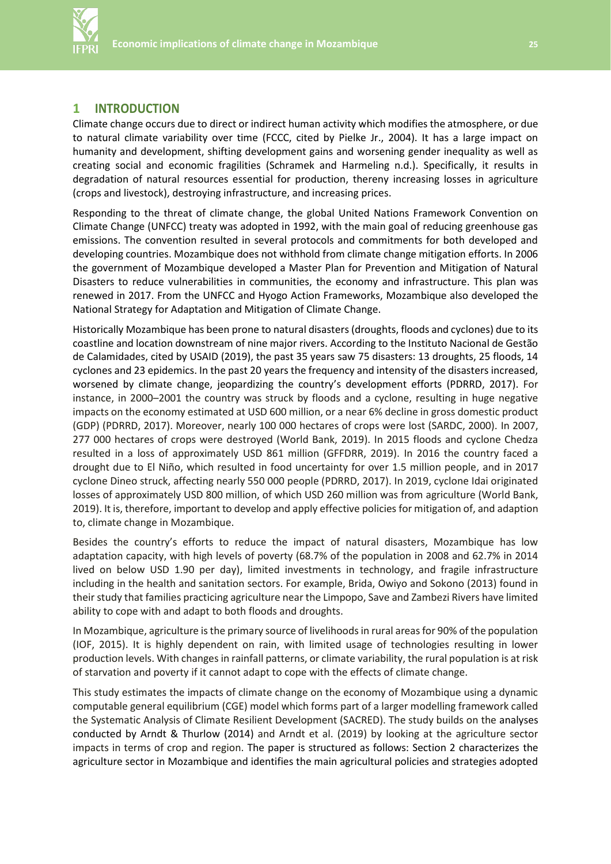

#### **1 INTRODUCTION**

Climate change occurs due to direct or indirect human activity which modifies the atmosphere, or due to natural climate variability over time (FCCC, cited by Pielke Jr., 2004). It has a large impact on humanity and development, shifting development gains and worsening gender inequality as well as creating social and economic fragilities (Schramek and Harmeling n.d.). Specifically, it results in degradation of natural resources essential for production, thereny increasing losses in agriculture (crops and livestock), destroying infrastructure, and increasing prices.

Responding to the threat of climate change, the global United Nations Framework Convention on Climate Change (UNFCC) treaty was adopted in 1992, with the main goal of reducing greenhouse gas emissions. The convention resulted in several protocols and commitments for both developed and developing countries. Mozambique does not withhold from climate change mitigation efforts. In 2006 the government of Mozambique developed a Master Plan for Prevention and Mitigation of Natural Disasters to reduce vulnerabilities in communities, the economy and infrastructure. This plan was renewed in 2017. From the UNFCC and Hyogo Action Frameworks, Mozambique also developed the National Strategy for Adaptation and Mitigation of Climate Change.

Historically Mozambique has been prone to natural disasters (droughts, floods and cyclones) due to its coastline and location downstream of nine major rivers. According to the Instituto Nacional de Gestão de Calamidades, cited by USAID (2019), the past 35 years saw 75 disasters: 13 droughts, 25 floods, 14 cyclones and 23 epidemics. In the past 20 years the frequency and intensity of the disasters increased, worsened by climate change, jeopardizing the country's development efforts (PDRRD, 2017). For instance, in 2000–2001 the country was struck by floods and a cyclone, resulting in huge negative impacts on the economy estimated at USD 600 million, or a near 6% decline in gross domestic product (GDP) (PDRRD, 2017). Moreover, nearly 100 000 hectares of crops were lost (SARDC, 2000). In 2007, 277 000 hectares of crops were destroyed (World Bank, 2019). In 2015 floods and cyclone Chedza resulted in a loss of approximately USD 861 million (GFFDRR, 2019). In 2016 the country faced a drought due to El Niño, which resulted in food uncertainty for over 1.5 million people, and in 2017 cyclone Dineo struck, affecting nearly 550 000 people (PDRRD, 2017). In 2019, cyclone Idai originated losses of approximately USD 800 million, of which USD 260 million was from agriculture (World Bank, 2019). It is, therefore, important to develop and apply effective policies for mitigation of, and adaption to, climate change in Mozambique.

Besides the country's efforts to reduce the impact of natural disasters, Mozambique has low adaptation capacity, with high levels of poverty (68.7% of the population in 2008 and 62.7% in 2014 lived on below USD 1.90 per day), limited investments in technology, and fragile infrastructure including in the health and sanitation sectors. For example, Brida, Owiyo and Sokono (2013) found in their study that families practicing agriculture near the Limpopo, Save and Zambezi Rivers have limited ability to cope with and adapt to both floods and droughts.

In Mozambique, agriculture is the primary source of livelihoods in rural areas for 90% of the population (IOF, 2015). It is highly dependent on rain, with limited usage of technologies resulting in lower production levels. With changes in rainfall patterns, or climate variability, the rural population is at risk of starvation and poverty if it cannot adapt to cope with the effects of climate change.

This study estimates the impacts of climate change on the economy of Mozambique using a dynamic computable general equilibrium (CGE) model which forms part of a larger modelling framework called the Systematic Analysis of Climate Resilient Development (SACRED). The study builds on the analyses conducted by Arndt & Thurlow (2014) and Arndt et al. (2019) by looking at the agriculture sector impacts in terms of crop and region. The paper is structured as follows: Section 2 characterizes the agriculture sector in Mozambique and identifies the main agricultural policies and strategies adopted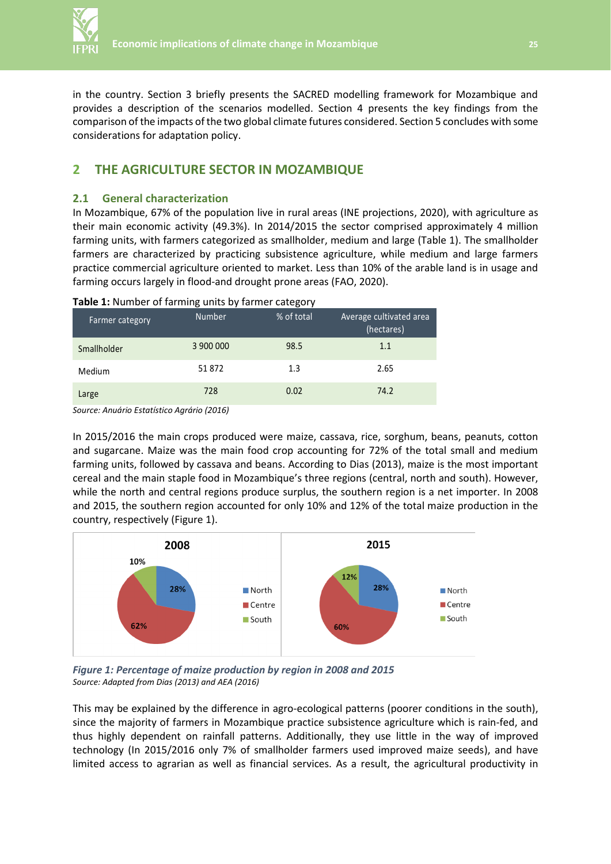

in the country. Section 3 briefly presents the SACRED modelling framework for Mozambique and provides a description of the scenarios modelled. Section 4 presents the key findings from the comparison of the impacts of the two global climate futures considered. Section 5 concludes with some considerations for adaptation policy.

## **2 THE AGRICULTURE SECTOR IN MOZAMBIQUE**

#### **2.1 General characterization**

In Mozambique, 67% of the population live in rural areas (INE projections, 2020), with agriculture as their main economic activity (49.3%). In 2014/2015 the sector comprised approximately 4 million farming units, with farmers categorized as smallholder, medium and large (Table 1). The smallholder farmers are characterized by practicing subsistence agriculture, while medium and large farmers practice commercial agriculture oriented to market. Less than 10% of the arable land is in usage and farming occurs largely in flood-and drought prone areas (FAO, 2020).

| Farmer category | <b>Number</b> | % of total | Average cultivated area<br>(hectares) |
|-----------------|---------------|------------|---------------------------------------|
| Smallholder     | 3 900 000     | 98.5       | 1.1                                   |
| Medium          | 51 872        | 1.3        | 2.65                                  |
| Large           | 728           | 0.02       | 74.2                                  |

#### **Table 1:** Number of farming units by farmer category

*Source: Anuário Estatístico Agrário (2016)*

In 2015/2016 the main crops produced were maize, cassava, rice, sorghum, beans, peanuts, cotton and sugarcane. Maize was the main food crop accounting for 72% of the total small and medium farming units, followed by cassava and beans. According to Dias (2013), maize is the most important cereal and the main staple food in Mozambique's three regions (central, north and south). However, while the north and central regions produce surplus, the southern region is a net importer. In 2008 and 2015, the southern region accounted for only 10% and 12% of the total maize production in the country, respectively (Figure 1).



*Figure 1: Percentage of maize production by region in 2008 and 2015 Source: Adapted from Dias (2013) and AEA (2016)*

This may be explained by the difference in agro-ecological patterns (poorer conditions in the south), since the majority of farmers in Mozambique practice subsistence agriculture which is rain-fed, and thus highly dependent on rainfall patterns. Additionally, they use little in the way of improved technology (In 2015/2016 only 7% of smallholder farmers used improved maize seeds), and have limited access to agrarian as well as financial services. As a result, the agricultural productivity in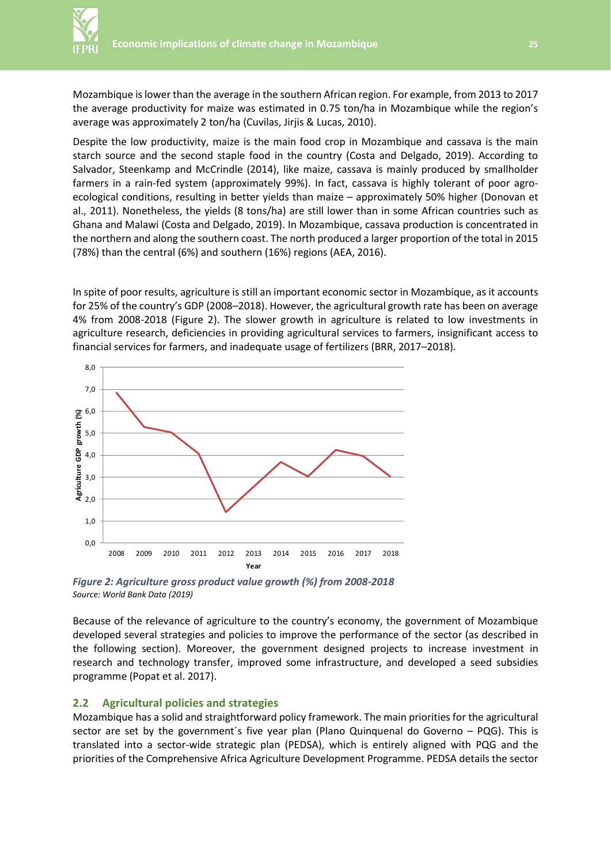Mozambique is lower than the average in the southern African region. For example, from 2013 to 2017 the average productivity for maize was estimated in 0.75 ton/ha in Mozambique while the region's average was approximately 2 ton/ha (Cuvilas, Jirjis & Lucas, 2010).

Despite the low productivity, maize is the main food crop in Mozambique and cassava is the main starch source and the second staple food in the country (Costa and Delgado, 2019). According to Salvador, Steenkamp and McCrindle (2014), like maize, cassava is mainly produced by smallholder farmers in a rain-fed system (approximately 99%). In fact, cassava is highly tolerant of poor agroecological conditions, resulting in better yields than maize – approximately 50% higher (Donovan et al., 2011). Nonetheless, the yields (8 tons/ha) are still lower than in some African countries such as Ghana and Malawi (Costa and Delgado, 2019). In Mozambique, cassava production is concentrated in the northern and along the southern coast. The north produced a larger proportion of the total in 2015 (78%) than the central (6%) and southern (16%) regions (AEA, 2016).

In spite of poor results, agriculture is still an important economic sector in Mozambique, as it accounts for 25% of the country's GDP (2008–2018). However, the agricultural growth rate has been on average 4% from 2008-2018 (Figure 2). The slower growth in agriculture is related to low investments in agriculture research, deficiencies in providing agricultural services to farmers, insignificant access to financial services for farmers, and inadequate usage of fertilizers (BRR, 2017–2018).



*Figure 2: Agriculture gross product value growth (%) from 2008-2018 Source: World Bank Data (2019)*

Because of the relevance of agriculture to the country's economy, the government of Mozambique developed several strategies and policies to improve the performance of the sector (as described in the following section). Moreover, the government designed projects to increase investment in research and technology transfer, improved some infrastructure, and developed a seed subsidies programme (Popat et al. 2017).

### **2.2 Agricultural policies and strategies**

Mozambique has a solid and straightforward policy framework. The main priorities for the agricultural sector are set by the government´s five year plan (Plano Quinquenal do Governo – PQG). This is translated into a sector-wide strategic plan (PEDSA), which is entirely aligned with PQG and the priorities of the Comprehensive Africa Agriculture Development Programme. PEDSA details the sector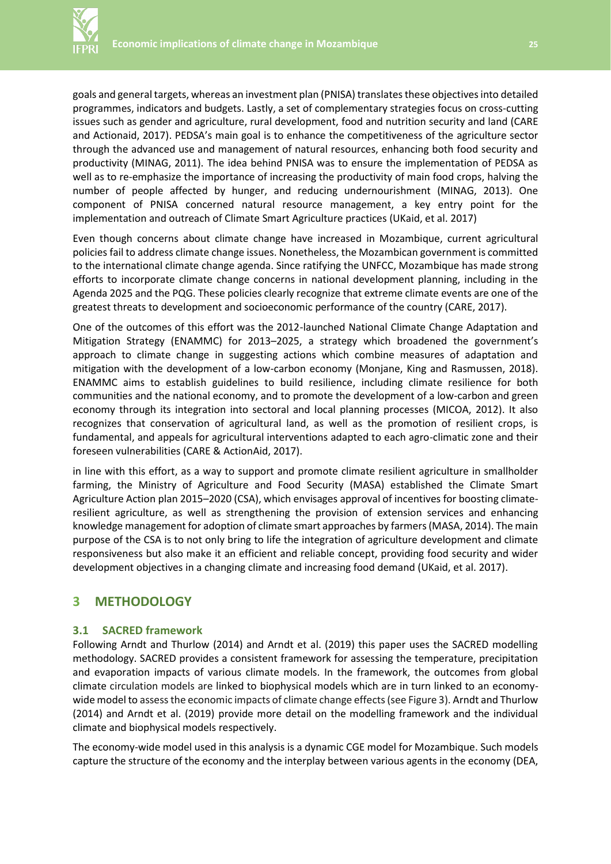

goals and general targets, whereas an investment plan (PNISA) translates these objectives into detailed programmes, indicators and budgets. Lastly, a set of complementary strategies focus on cross-cutting issues such as gender and agriculture, rural development, food and nutrition security and land (CARE and Actionaid, 2017). PEDSA's main goal is to enhance the competitiveness of the agriculture sector through the advanced use and management of natural resources, enhancing both food security and productivity (MINAG, 2011). The idea behind PNISA was to ensure the implementation of PEDSA as well as to re-emphasize the importance of increasing the productivity of main food crops, halving the number of people affected by hunger, and reducing undernourishment (MINAG, 2013). One component of PNISA concerned natural resource management, a key entry point for the implementation and outreach of Climate Smart Agriculture practices (UKaid, et al. 2017)

Even though concerns about climate change have increased in Mozambique, current agricultural policies fail to address climate change issues. Nonetheless, the Mozambican government is committed to the international climate change agenda. Since ratifying the UNFCC, Mozambique has made strong efforts to incorporate climate change concerns in national development planning, including in the Agenda 2025 and the PQG. These policies clearly recognize that extreme climate events are one of the greatest threats to development and socioeconomic performance of the country (CARE, 2017).

One of the outcomes of this effort was the 2012-launched National Climate Change Adaptation and Mitigation Strategy (ENAMMC) for 2013–2025, a strategy which broadened the government's approach to climate change in suggesting actions which combine measures of adaptation and mitigation with the development of a low-carbon economy (Monjane, King and Rasmussen, 2018). ENAMMC aims to establish guidelines to build resilience, including climate resilience for both communities and the national economy, and to promote the development of a low-carbon and green economy through its integration into sectoral and local planning processes (MICOA, 2012). It also recognizes that conservation of agricultural land, as well as the promotion of resilient crops, is fundamental, and appeals for agricultural interventions adapted to each agro-climatic zone and their foreseen vulnerabilities (CARE & ActionAid, 2017).

in line with this effort, as a way to support and promote climate resilient agriculture in smallholder farming, the Ministry of Agriculture and Food Security (MASA) established the Climate Smart Agriculture Action plan 2015–2020 (CSA), which envisages approval of incentives for boosting climateresilient agriculture, as well as strengthening the provision of extension services and enhancing knowledge management for adoption of climate smart approaches by farmers (MASA, 2014). The main purpose of the CSA is to not only bring to life the integration of agriculture development and climate responsiveness but also make it an efficient and reliable concept, providing food security and wider development objectives in a changing climate and increasing food demand (UKaid, et al. 2017).

# **3 METHODOLOGY**

#### **3.1 SACRED framework**

Following Arndt and Thurlow (2014) and Arndt et al. (2019) this paper uses the SACRED modelling methodology. SACRED provides a consistent framework for assessing the temperature, precipitation and evaporation impacts of various climate models. In the framework, the outcomes from global climate circulation models are linked to biophysical models which are in turn linked to an economywide model to assess the economic impacts of climate change effects (see Figure 3). Arndt and Thurlow (2014) and Arndt et al. (2019) provide more detail on the modelling framework and the individual climate and biophysical models respectively.

The economy-wide model used in this analysis is a dynamic CGE model for Mozambique. Such models capture the structure of the economy and the interplay between various agents in the economy (DEA,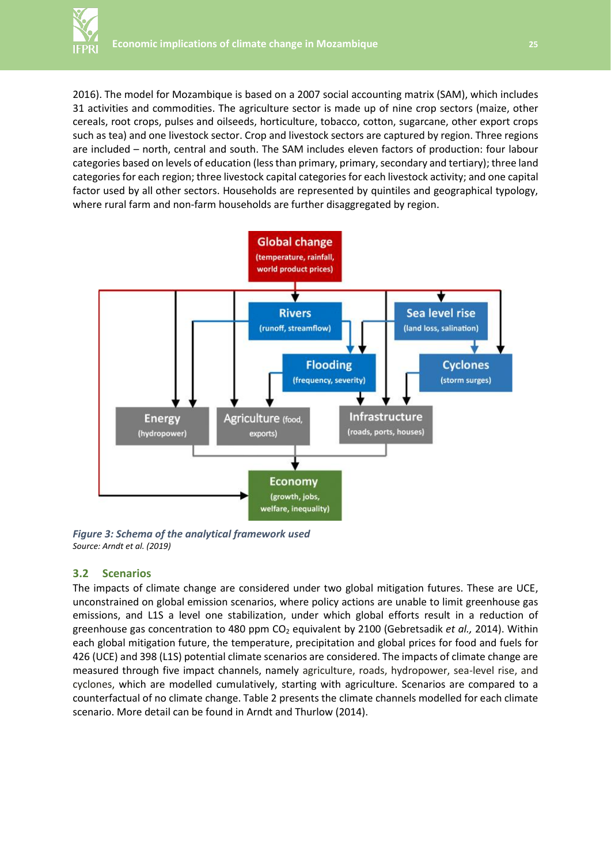

2016). The model for Mozambique is based on a 2007 social accounting matrix (SAM), which includes 31 activities and commodities. The agriculture sector is made up of nine crop sectors (maize, other cereals, root crops, pulses and oilseeds, horticulture, tobacco, cotton, sugarcane, other export crops such as tea) and one livestock sector. Crop and livestock sectors are captured by region. Three regions are included – north, central and south. The SAM includes eleven factors of production: four labour categories based on levels of education (less than primary, primary, secondary and tertiary); three land categories for each region; three livestock capital categories for each livestock activity; and one capital factor used by all other sectors. Households are represented by quintiles and geographical typology, where rural farm and non-farm households are further disaggregated by region.



*Figure 3: Schema of the analytical framework used Source: Arndt et al. (2019)*

#### **3.2 Scenarios**

The impacts of climate change are considered under two global mitigation futures. These are UCE, unconstrained on global emission scenarios, where policy actions are unable to limit greenhouse gas emissions, and L1S a level one stabilization, under which global efforts result in a reduction of greenhouse gas concentration to 480 ppm CO<sub>2</sub> equivalent by 2100 (Gebretsadik *et al.,* 2014). Within each global mitigation future, the temperature, precipitation and global prices for food and fuels for 426 (UCE) and 398 (L1S) potential climate scenarios are considered. The impacts of climate change are measured through five impact channels, namely agriculture, roads, hydropower, sea-level rise, and cyclones, which are modelled cumulatively, starting with agriculture. Scenarios are compared to a counterfactual of no climate change. Table 2 presents the climate channels modelled for each climate scenario. More detail can be found in Arndt and Thurlow (2014).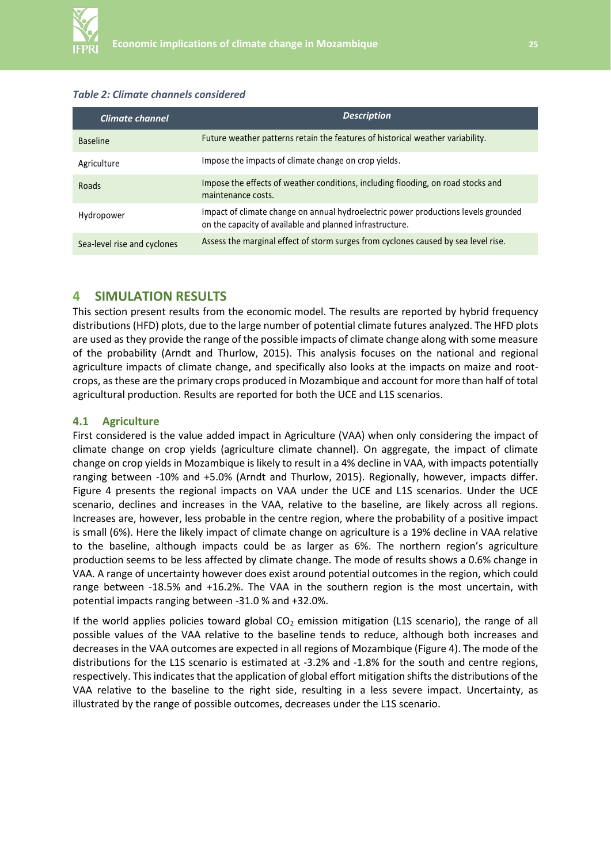

#### *Table 2: Climate channels considered*

| Climate channel             | <b>Description</b>                                                                                                                             |  |  |
|-----------------------------|------------------------------------------------------------------------------------------------------------------------------------------------|--|--|
| <b>Baseline</b>             | Future weather patterns retain the features of historical weather variability.                                                                 |  |  |
| Agriculture                 | Impose the impacts of climate change on crop yields.                                                                                           |  |  |
| Roads                       | Impose the effects of weather conditions, including flooding, on road stocks and<br>maintenance costs.                                         |  |  |
| Hydropower                  | Impact of climate change on annual hydroelectric power productions levels grounded<br>on the capacity of available and planned infrastructure. |  |  |
| Sea-level rise and cyclones | Assess the marginal effect of storm surges from cyclones caused by sea level rise.                                                             |  |  |

#### **4 SIMULATION RESULTS**

This section present results from the economic model. The results are reported by hybrid frequency distributions (HFD) plots, due to the large number of potential climate futures analyzed. The HFD plots are used as they provide the range of the possible impacts of climate change along with some measure of the probability (Arndt and Thurlow, 2015). This analysis focuses on the national and regional agriculture impacts of climate change, and specifically also looks at the impacts on maize and rootcrops, as these are the primary crops produced in Mozambique and account for more than half of total agricultural production. Results are reported for both the UCE and L1S scenarios.

#### **4.1 Agriculture**

First considered is the value added impact in Agriculture (VAA) when only considering the impact of climate change on crop yields (agriculture climate channel). On aggregate, the impact of climate change on crop yields in Mozambique is likely to result in a 4% decline in VAA, with impacts potentially ranging between -10% and +5.0% (Arndt and Thurlow, 2015). Regionally, however, impacts differ. Figure 4 presents the regional impacts on VAA under the UCE and L1S scenarios. Under the UCE scenario, declines and increases in the VAA, relative to the baseline, are likely across all regions. Increases are, however, less probable in the centre region, where the probability of a positive impact is small (6%). Here the likely impact of climate change on agriculture is a 19% decline in VAA relative to the baseline, although impacts could be as larger as 6%. The northern region's agriculture production seems to be less affected by climate change. The mode of results shows a 0.6% change in VAA. A range of uncertainty however does exist around potential outcomes in the region, which could range between -18.5% and +16.2%. The VAA in the southern region is the most uncertain, with potential impacts ranging between -31.0 % and +32.0%.

If the world applies policies toward global  $CO<sub>2</sub>$  emission mitigation (L1S scenario), the range of all possible values of the VAA relative to the baseline tends to reduce, although both increases and decreases in the VAA outcomes are expected in all regions of Mozambique (Figure 4). The mode of the distributions for the L1S scenario is estimated at -3.2% and -1.8% for the south and centre regions, respectively. This indicates that the application of global effort mitigation shifts the distributions of the VAA relative to the baseline to the right side, resulting in a less severe impact. Uncertainty, as illustrated by the range of possible outcomes, decreases under the L1S scenario.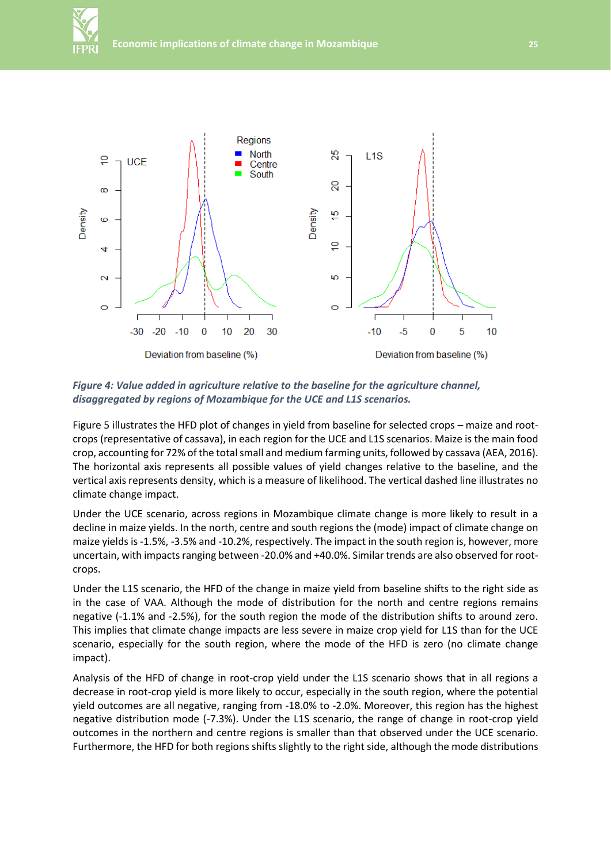



*Figure 4: Value added in agriculture relative to the baseline for the agriculture channel, disaggregated by regions of Mozambique for the UCE and L1S scenarios.*

Figure 5 illustrates the HFD plot of changes in yield from baseline for selected crops – maize and rootcrops (representative of cassava), in each region for the UCE and L1S scenarios. Maize is the main food crop, accounting for 72% of the total small and medium farming units, followed by cassava (AEA, 2016). The horizontal axis represents all possible values of yield changes relative to the baseline, and the vertical axis represents density, which is a measure of likelihood. The vertical dashed line illustrates no climate change impact.

Under the UCE scenario, across regions in Mozambique climate change is more likely to result in a decline in maize yields. In the north, centre and south regions the (mode) impact of climate change on maize yields is -1.5%, -3.5% and -10.2%, respectively. The impact in the south region is, however, more uncertain, with impacts ranging between -20.0% and +40.0%. Similar trends are also observed for rootcrops.

Under the L1S scenario, the HFD of the change in maize yield from baseline shifts to the right side as in the case of VAA. Although the mode of distribution for the north and centre regions remains negative (-1.1% and -2.5%), for the south region the mode of the distribution shifts to around zero. This implies that climate change impacts are less severe in maize crop yield for L1S than for the UCE scenario, especially for the south region, where the mode of the HFD is zero (no climate change impact).

Analysis of the HFD of change in root-crop yield under the L1S scenario shows that in all regions a decrease in root-crop yield is more likely to occur, especially in the south region, where the potential yield outcomes are all negative, ranging from -18.0% to -2.0%. Moreover, this region has the highest negative distribution mode (-7.3%). Under the L1S scenario, the range of change in root-crop yield outcomes in the northern and centre regions is smaller than that observed under the UCE scenario. Furthermore, the HFD for both regions shifts slightly to the right side, although the mode distributions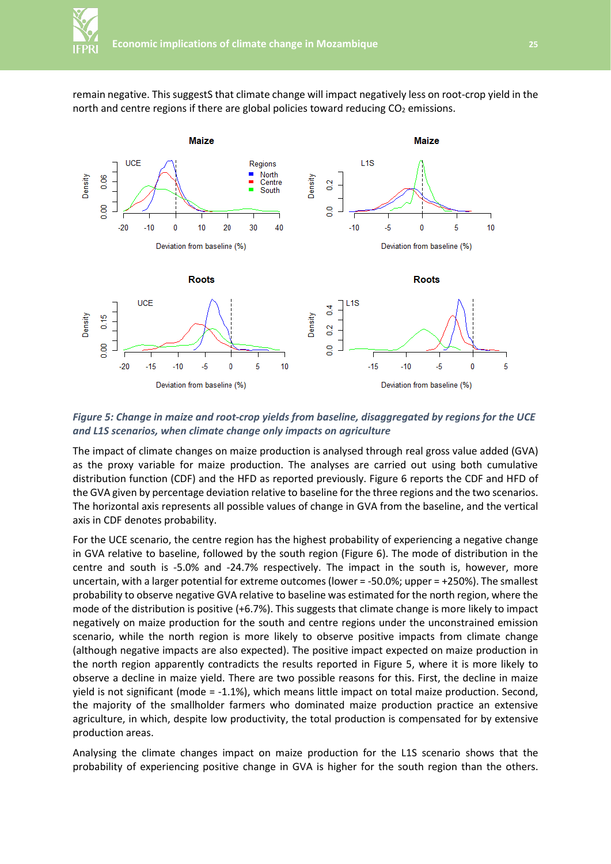remain negative. This suggestS that climate change will impact negatively less on root-crop yield in the north and centre regions if there are global policies toward reducing  $CO<sub>2</sub>$  emissions.



*Figure 5: Change in maize and root-crop yields from baseline, disaggregated by regions for the UCE and L1S scenarios, when climate change only impacts on agriculture*

The impact of climate changes on maize production is analysed through real gross value added (GVA) as the proxy variable for maize production. The analyses are carried out using both cumulative distribution function (CDF) and the HFD as reported previously. Figure 6 reports the CDF and HFD of the GVA given by percentage deviation relative to baseline for the three regions and the two scenarios. The horizontal axis represents all possible values of change in GVA from the baseline, and the vertical axis in CDF denotes probability.

For the UCE scenario, the centre region has the highest probability of experiencing a negative change in GVA relative to baseline, followed by the south region (Figure 6). The mode of distribution in the centre and south is -5.0% and -24.7% respectively. The impact in the south is, however, more uncertain, with a larger potential for extreme outcomes (lower = -50.0%; upper = +250%). The smallest probability to observe negative GVA relative to baseline was estimated for the north region, where the mode of the distribution is positive (+6.7%). This suggests that climate change is more likely to impact negatively on maize production for the south and centre regions under the unconstrained emission scenario, while the north region is more likely to observe positive impacts from climate change (although negative impacts are also expected). The positive impact expected on maize production in the north region apparently contradicts the results reported in Figure 5, where it is more likely to observe a decline in maize yield. There are two possible reasons for this. First, the decline in maize yield is not significant (mode = -1.1%), which means little impact on total maize production. Second, the majority of the smallholder farmers who dominated maize production practice an extensive agriculture, in which, despite low productivity, the total production is compensated for by extensive production areas.

Analysing the climate changes impact on maize production for the L1S scenario shows that the probability of experiencing positive change in GVA is higher for the south region than the others.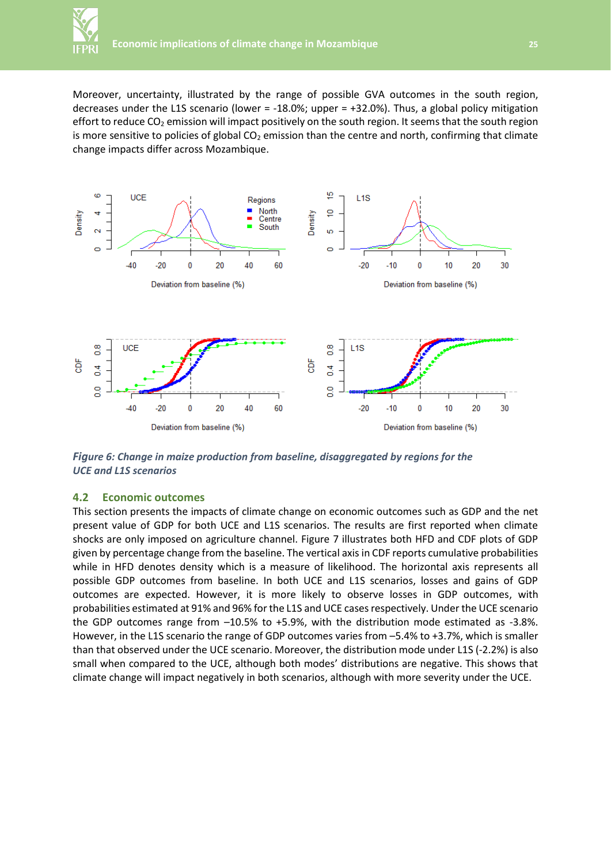Moreover, uncertainty, illustrated by the range of possible GVA outcomes in the south region, decreases under the L1S scenario (lower =  $-18.0\%$ ; upper =  $+32.0\%$ ). Thus, a global policy mitigation effort to reduce  $CO<sub>2</sub>$  emission will impact positively on the south region. It seems that the south region is more sensitive to policies of global  $CO<sub>2</sub>$  emission than the centre and north, confirming that climate change impacts differ across Mozambique.



*Figure 6: Change in maize production from baseline, disaggregated by regions for the UCE and L1S scenarios*

### **4.2 Economic outcomes**

This section presents the impacts of climate change on economic outcomes such as GDP and the net present value of GDP for both UCE and L1S scenarios. The results are first reported when climate shocks are only imposed on agriculture channel. Figure 7 illustrates both HFD and CDF plots of GDP given by percentage change from the baseline. The vertical axis in CDF reports cumulative probabilities while in HFD denotes density which is a measure of likelihood. The horizontal axis represents all possible GDP outcomes from baseline. In both UCE and L1S scenarios, losses and gains of GDP outcomes are expected. However, it is more likely to observe losses in GDP outcomes, with probabilities estimated at 91% and 96% for the L1S and UCE cases respectively. Under the UCE scenario the GDP outcomes range from –10.5% to +5.9%, with the distribution mode estimated as -3.8%. However, in the L1S scenario the range of GDP outcomes varies from –5.4% to +3.7%, which is smaller than that observed under the UCE scenario. Moreover, the distribution mode under L1S (-2.2%) is also small when compared to the UCE, although both modes' distributions are negative. This shows that climate change will impact negatively in both scenarios, although with more severity under the UCE.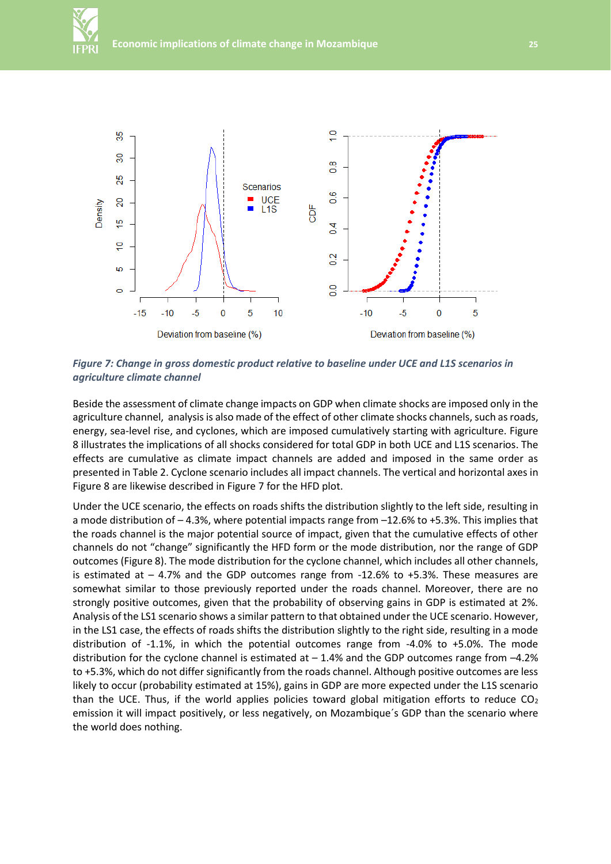



*Figure 7: Change in gross domestic product relative to baseline under UCE and L1S scenarios in agriculture climate channel*

Beside the assessment of climate change impacts on GDP when climate shocks are imposed only in the agriculture channel, analysis is also made of the effect of other climate shocks channels, such as roads, energy, sea-level rise, and cyclones, which are imposed cumulatively starting with agriculture. Figure 8 illustrates the implications of all shocks considered for total GDP in both UCE and L1S scenarios. The effects are cumulative as climate impact channels are added and imposed in the same order as presented in Table 2. Cyclone scenario includes all impact channels. The vertical and horizontal axes in Figure 8 are likewise described in Figure 7 for the HFD plot.

Under the UCE scenario, the effects on roads shifts the distribution slightly to the left side, resulting in a mode distribution of – 4.3%, where potential impacts range from –12.6% to +5.3%. This implies that the roads channel is the major potential source of impact, given that the cumulative effects of other channels do not "change" significantly the HFD form or the mode distribution, nor the range of GDP outcomes (Figure 8). The mode distribution for the cyclone channel, which includes all other channels, is estimated at – 4.7% and the GDP outcomes range from -12.6% to +5.3%. These measures are somewhat similar to those previously reported under the roads channel. Moreover, there are no strongly positive outcomes, given that the probability of observing gains in GDP is estimated at 2%. Analysis of the LS1 scenario shows a similar pattern to that obtained under the UCE scenario. However, in the LS1 case, the effects of roads shifts the distribution slightly to the right side, resulting in a mode distribution of -1.1%, in which the potential outcomes range from -4.0% to +5.0%. The mode distribution for the cyclone channel is estimated at  $-1.4%$  and the GDP outcomes range from  $-4.2%$ to +5.3%, which do not differ significantly from the roads channel. Although positive outcomes are less likely to occur (probability estimated at 15%), gains in GDP are more expected under the L1S scenario than the UCE. Thus, if the world applies policies toward global mitigation efforts to reduce  $CO<sub>2</sub>$ emission it will impact positively, or less negatively, on Mozambique´s GDP than the scenario where the world does nothing.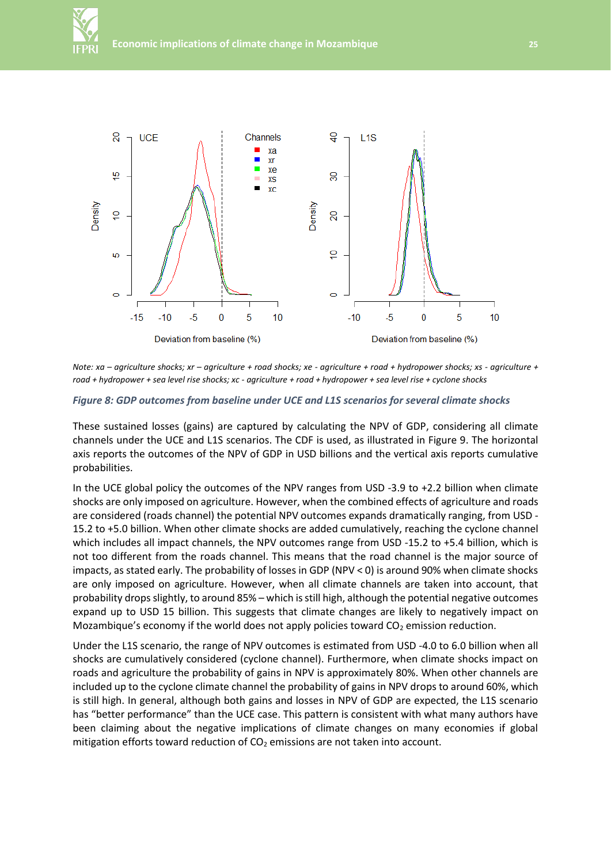



*Note: xa – agriculture shocks; xr – agriculture + road shocks; xe - agriculture + road + hydropower shocks; xs - agriculture + road + hydropower + sea level rise shocks; xc - agriculture + road + hydropower + sea level rise + cyclone shocks*

#### *Figure 8: GDP outcomes from baseline under UCE and L1S scenarios for several climate shocks*

These sustained losses (gains) are captured by calculating the NPV of GDP, considering all climate channels under the UCE and L1S scenarios. The CDF is used, as illustrated in Figure 9. The horizontal axis reports the outcomes of the NPV of GDP in USD billions and the vertical axis reports cumulative probabilities.

In the UCE global policy the outcomes of the NPV ranges from USD -3.9 to +2.2 billion when climate shocks are only imposed on agriculture. However, when the combined effects of agriculture and roads are considered (roads channel) the potential NPV outcomes expands dramatically ranging, from USD - 15.2 to +5.0 billion. When other climate shocks are added cumulatively, reaching the cyclone channel which includes all impact channels, the NPV outcomes range from USD -15.2 to +5.4 billion, which is not too different from the roads channel. This means that the road channel is the major source of impacts, as stated early. The probability of losses in GDP (NPV < 0) is around 90% when climate shocks are only imposed on agriculture. However, when all climate channels are taken into account, that probability drops slightly, to around 85% – which is still high, although the potential negative outcomes expand up to USD 15 billion. This suggests that climate changes are likely to negatively impact on Mozambique's economy if the world does not apply policies toward CO<sub>2</sub> emission reduction.

Under the L1S scenario, the range of NPV outcomes is estimated from USD -4.0 to 6.0 billion when all shocks are cumulatively considered (cyclone channel). Furthermore, when climate shocks impact on roads and agriculture the probability of gains in NPV is approximately 80%. When other channels are included up to the cyclone climate channel the probability of gains in NPV drops to around 60%, which is still high. In general, although both gains and losses in NPV of GDP are expected, the L1S scenario has "better performance" than the UCE case. This pattern is consistent with what many authors have been claiming about the negative implications of climate changes on many economies if global mitigation efforts toward reduction of  $CO<sub>2</sub>$  emissions are not taken into account.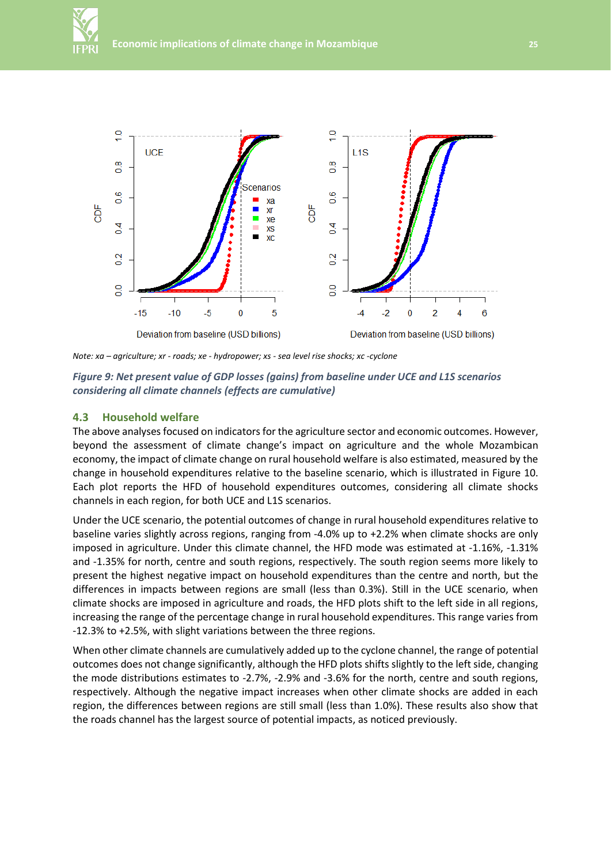

*Note: xa – agriculture; xr - roads; xe - hydropower; xs - sea level rise shocks; xc -cyclone*

*Figure 9: Net present value of GDP losses (gains) from baseline under UCE and L1S scenarios considering all climate channels (effects are cumulative)*

#### **4.3 Household welfare**

The above analyses focused on indicators for the agriculture sector and economic outcomes. However, beyond the assessment of climate change's impact on agriculture and the whole Mozambican economy, the impact of climate change on rural household welfare is also estimated, measured by the change in household expenditures relative to the baseline scenario, which is illustrated in Figure 10. Each plot reports the HFD of household expenditures outcomes, considering all climate shocks channels in each region, for both UCE and L1S scenarios.

Under the UCE scenario, the potential outcomes of change in rural household expenditures relative to baseline varies slightly across regions, ranging from -4.0% up to +2.2% when climate shocks are only imposed in agriculture. Under this climate channel, the HFD mode was estimated at -1.16%, -1.31% and -1.35% for north, centre and south regions, respectively. The south region seems more likely to present the highest negative impact on household expenditures than the centre and north, but the differences in impacts between regions are small (less than 0.3%). Still in the UCE scenario, when climate shocks are imposed in agriculture and roads, the HFD plots shift to the left side in all regions, increasing the range of the percentage change in rural household expenditures. This range varies from -12.3% to +2.5%, with slight variations between the three regions.

When other climate channels are cumulatively added up to the cyclone channel, the range of potential outcomes does not change significantly, although the HFD plots shifts slightly to the left side, changing the mode distributions estimates to -2.7%, -2.9% and -3.6% for the north, centre and south regions, respectively. Although the negative impact increases when other climate shocks are added in each region, the differences between regions are still small (less than 1.0%). These results also show that the roads channel has the largest source of potential impacts, as noticed previously.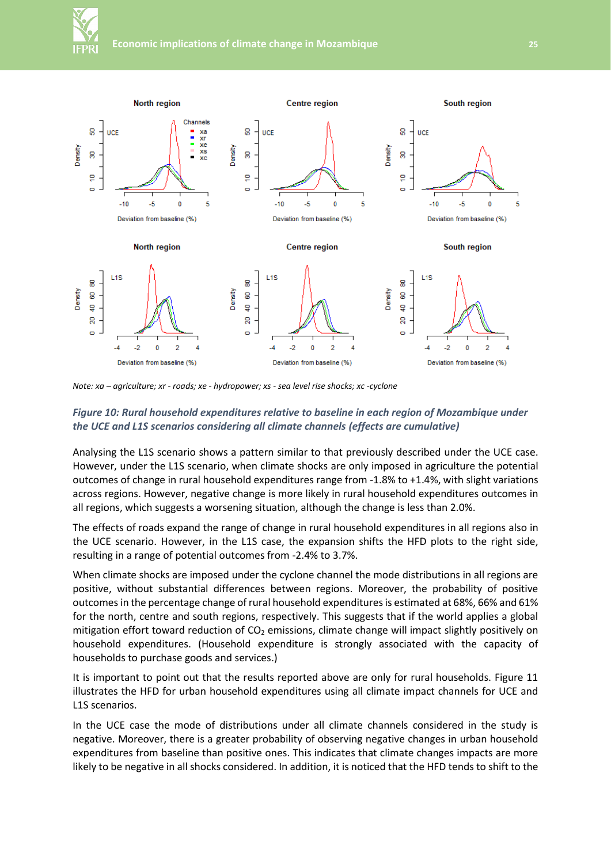

*Note: xa – agriculture; xr - roads; xe - hydropower; xs - sea level rise shocks; xc -cyclone*

#### *Figure 10: Rural household expenditures relative to baseline in each region of Mozambique under the UCE and L1S scenarios considering all climate channels (effects are cumulative)*

Analysing the L1S scenario shows a pattern similar to that previously described under the UCE case. However, under the L1S scenario, when climate shocks are only imposed in agriculture the potential outcomes of change in rural household expenditures range from -1.8% to +1.4%, with slight variations across regions. However, negative change is more likely in rural household expenditures outcomes in all regions, which suggests a worsening situation, although the change is less than 2.0%.

The effects of roads expand the range of change in rural household expenditures in all regions also in the UCE scenario. However, in the L1S case, the expansion shifts the HFD plots to the right side, resulting in a range of potential outcomes from -2.4% to 3.7%.

When climate shocks are imposed under the cyclone channel the mode distributions in all regions are positive, without substantial differences between regions. Moreover, the probability of positive outcomes in the percentage change of rural household expenditures is estimated at 68%, 66% and 61% for the north, centre and south regions, respectively. This suggests that if the world applies a global mitigation effort toward reduction of  $CO<sub>2</sub>$  emissions, climate change will impact slightly positively on household expenditures. (Household expenditure is strongly associated with the capacity of households to purchase goods and services.)

It is important to point out that the results reported above are only for rural households. Figure 11 illustrates the HFD for urban household expenditures using all climate impact channels for UCE and L1S scenarios.

In the UCE case the mode of distributions under all climate channels considered in the study is negative. Moreover, there is a greater probability of observing negative changes in urban household expenditures from baseline than positive ones. This indicates that climate changes impacts are more likely to be negative in all shocks considered. In addition, it is noticed that the HFD tends to shift to the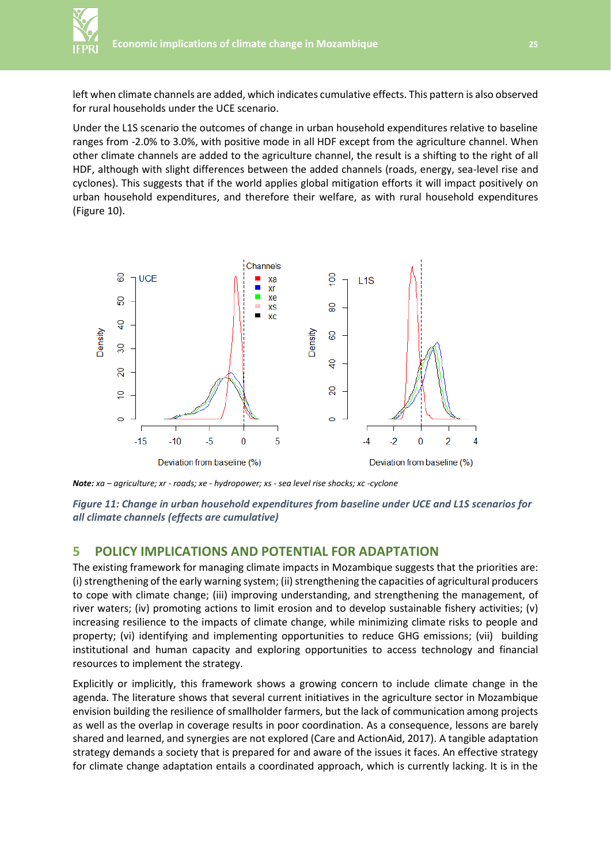

left when climate channels are added, which indicates cumulative effects. This pattern is also observed for rural households under the UCE scenario.

Under the L1S scenario the outcomes of change in urban household expenditures relative to baseline ranges from -2.0% to 3.0%, with positive mode in all HDF except from the agriculture channel. When other climate channels are added to the agriculture channel, the result is a shifting to the right of all HDF, although with slight differences between the added channels (roads, energy, sea-level rise and cyclones). This suggests that if the world applies global mitigation efforts it will impact positively on urban household expenditures, and therefore their welfare, as with rural household expenditures (Figure 10).



*Note: xa – agriculture; xr - roads; xe - hydropower; xs - sea level rise shocks; xc -cyclone*

*Figure 11: Change in urban household expenditures from baseline under UCE and L1S scenarios for all climate channels (effects are cumulative)*

# **5 POLICY IMPLICATIONS AND POTENTIAL FOR ADAPTATION**

The existing framework for managing climate impacts in Mozambique suggests that the priorities are: (i) strengthening of the early warning system; (ii) strengthening the capacities of agricultural producers to cope with climate change; (iii) improving understanding, and strengthening the management, of river waters; (iv) promoting actions to limit erosion and to develop sustainable fishery activities; (v) increasing resilience to the impacts of climate change, while minimizing climate risks to people and property; (vi) identifying and implementing opportunities to reduce GHG emissions; (vii) building institutional and human capacity and exploring opportunities to access technology and financial resources to implement the strategy.

Explicitly or implicitly, this framework shows a growing concern to include climate change in the agenda. The literature shows that several current initiatives in the agriculture sector in Mozambique envision building the resilience of smallholder farmers, but the lack of communication among projects as well as the overlap in coverage results in poor coordination. As a consequence, lessons are barely shared and learned, and synergies are not explored (Care and ActionAid, 2017). A tangible adaptation strategy demands a society that is prepared for and aware of the issues it faces. An effective strategy for climate change adaptation entails a coordinated approach, which is currently lacking. It is in the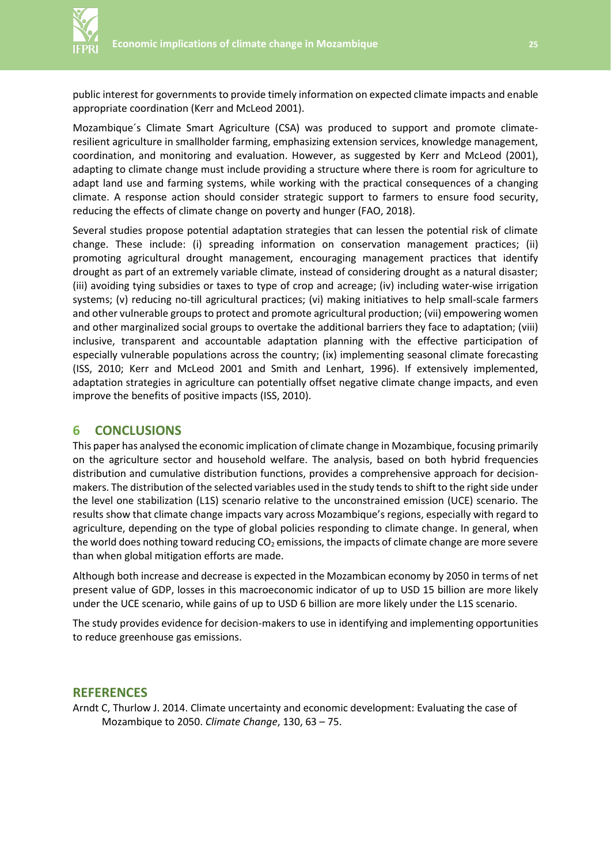public interest for governments to provide timely information on expected climate impacts and enable appropriate coordination (Kerr and McLeod 2001).

Mozambique´s Climate Smart Agriculture (CSA) was produced to support and promote climateresilient agriculture in smallholder farming, emphasizing extension services, knowledge management, coordination, and monitoring and evaluation. However, as suggested by Kerr and McLeod (2001), adapting to climate change must include providing a structure where there is room for agriculture to adapt land use and farming systems, while working with the practical consequences of a changing climate. A response action should consider strategic support to farmers to ensure food security, reducing the effects of climate change on poverty and hunger (FAO, 2018).

Several studies propose potential adaptation strategies that can lessen the potential risk of climate change. These include: (i) spreading information on conservation management practices; (ii) promoting agricultural drought management, encouraging management practices that identify drought as part of an extremely variable climate, instead of considering drought as a natural disaster; (iii) avoiding tying subsidies or taxes to type of crop and acreage; (iv) including water-wise irrigation systems; (v) reducing no-till agricultural practices; (vi) making initiatives to help small-scale farmers and other vulnerable groups to protect and promote agricultural production; (vii) empowering women and other marginalized social groups to overtake the additional barriers they face to adaptation; (viii) inclusive, transparent and accountable adaptation planning with the effective participation of especially vulnerable populations across the country; (ix) implementing seasonal climate forecasting (ISS, 2010; Kerr and McLeod 2001 and Smith and Lenhart, 1996). If extensively implemented, adaptation strategies in agriculture can potentially offset negative climate change impacts, and even improve the benefits of positive impacts (ISS, 2010).

### **6 CONCLUSIONS**

This paper has analysed the economic implication of climate change in Mozambique, focusing primarily on the agriculture sector and household welfare. The analysis, based on both hybrid frequencies distribution and cumulative distribution functions, provides a comprehensive approach for decisionmakers. The distribution of the selected variables used in the study tends to shift to the right side under the level one stabilization (L1S) scenario relative to the unconstrained emission (UCE) scenario. The results show that climate change impacts vary across Mozambique's regions, especially with regard to agriculture, depending on the type of global policies responding to climate change. In general, when the world does nothing toward reducing  $CO<sub>2</sub>$  emissions, the impacts of climate change are more severe than when global mitigation efforts are made.

Although both increase and decrease is expected in the Mozambican economy by 2050 in terms of net present value of GDP, losses in this macroeconomic indicator of up to USD 15 billion are more likely under the UCE scenario, while gains of up to USD 6 billion are more likely under the L1S scenario.

The study provides evidence for decision-makers to use in identifying and implementing opportunities to reduce greenhouse gas emissions.

#### **REFERENCES**

Arndt C, Thurlow J. 2014. Climate uncertainty and economic development: Evaluating the case of Mozambique to 2050. *Climate Change*, 130, 63 – 75.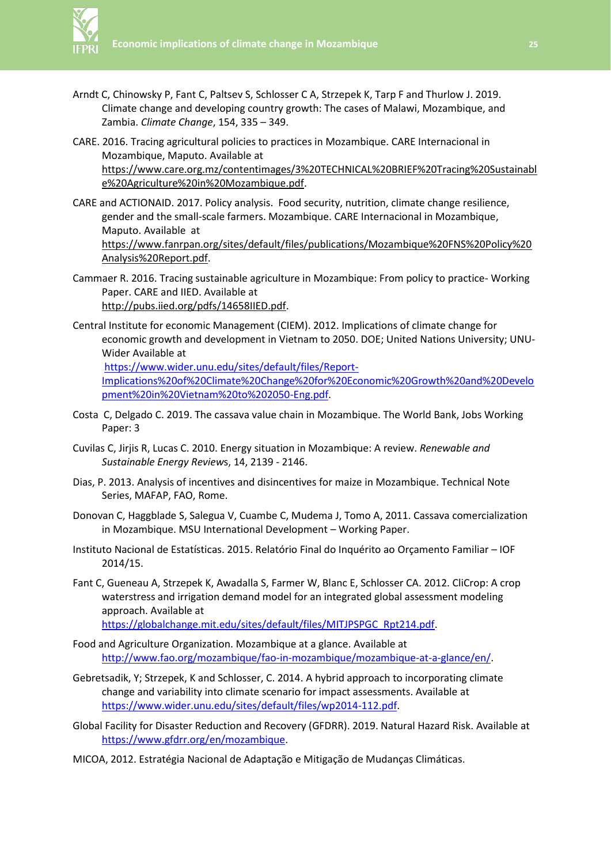

- Arndt C, Chinowsky P, Fant C, Paltsev S, Schlosser C A, Strzepek K, Tarp F and Thurlow J. 2019. Climate change and developing country growth: The cases of Malawi, Mozambique, and Zambia. *Climate Change*, 154, 335 – 349.
- CARE. 2016. Tracing agricultural policies to practices in Mozambique. CARE Internacional in Mozambique, Maputo. Available at https://www.care.org.mz/contentimages/3%20TECHNICAL%20BRIEF%20Tracing%20Sustainabl e%20Agriculture%20in%20Mozambique.pdf.
- CARE and ACTIONAID. 2017. Policy analysis. Food security, nutrition, climate change resilience, gender and the small-scale farmers. Mozambique. CARE Internacional in Mozambique, Maputo. Available at https://www.fanrpan.org/sites/default/files/publications/Mozambique%20FNS%20Policy%20 Analysis%20Report.pdf.
- Cammaer R. 2016. Tracing sustainable agriculture in Mozambique: From policy to practice- Working Paper. CARE and IIED. Available at http://pubs.iied.org/pdfs/14658IIED.pdf.
- Central Institute for economic Management (CIEM). 2012. Implications of climate change for economic growth and development in Vietnam to 2050. DOE; United Nations University; UNU-Wider Available at

https://www.wider.unu.edu/sites/default/files/Report-Implications%20of%20Climate%20Change%20for%20Economic%20Growth%20and%20Develo pment%20in%20Vietnam%20to%202050-Eng.pdf.

- Costa C, Delgado C. 2019. The cassava value chain in Mozambique. The World Bank, Jobs Working Paper: 3
- Cuvilas C, Jirjis R, Lucas C. 2010. Energy situation in Mozambique: A review. *Renewable and Sustainable Energy Review*s, 14, 2139 - 2146.
- Dias, P. 2013. Analysis of incentives and disincentives for maize in Mozambique. Technical Note Series, MAFAP, FAO, Rome.
- Donovan C, Haggblade S, Salegua V, Cuambe C, Mudema J, Tomo A, 2011. Cassava comercialization in Mozambique. MSU International Development – Working Paper.
- Instituto Nacional de Estatísticas. 2015. Relatório Final do Inquérito ao Orçamento Familiar IOF 2014/15.
- Fant C, Gueneau A, Strzepek K, Awadalla S, Farmer W, Blanc E, Schlosser CA. 2012. CliCrop: A crop waterstress and irrigation demand model for an integrated global assessment modeling approach. Available at

https://globalchange.mit.edu/sites/default/files/MITJPSPGC\_Rpt214.pdf.

- Food and Agriculture Organization. Mozambique at a glance. Available at http://www.fao.org/mozambique/fao-in-mozambique/mozambique-at-a-glance/en/.
- Gebretsadik, Y; Strzepek, K and Schlosser, C. 2014. A hybrid approach to incorporating climate change and variability into climate scenario for impact assessments. Available at https://www.wider.unu.edu/sites/default/files/wp2014-112.pdf.

Global Facility for Disaster Reduction and Recovery (GFDRR). 2019. Natural Hazard Risk. Available at https://www.gfdrr.org/en/mozambique.

MICOA, 2012. Estratégia Nacional de Adaptação e Mitigação de Mudanças Climáticas.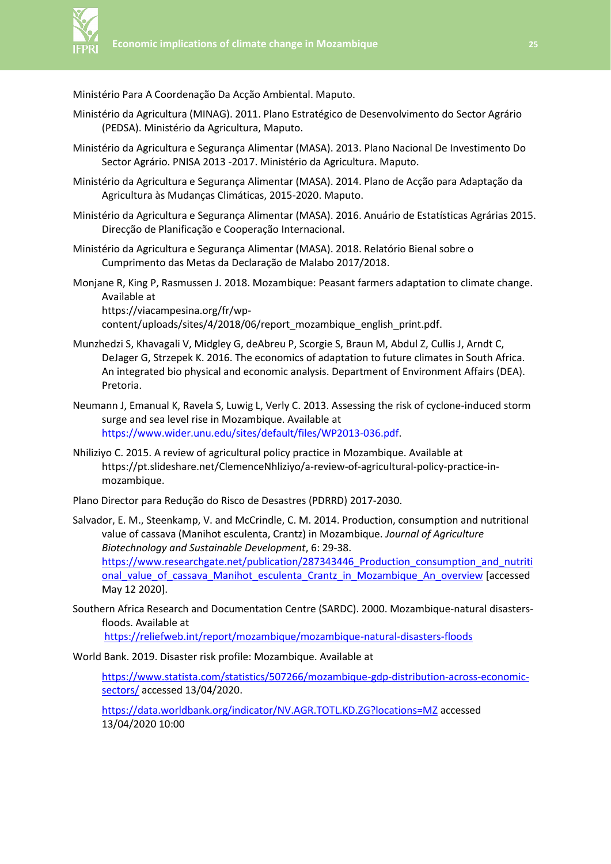

Ministério Para A Coordenação Da Acção Ambiental. Maputo.

- Ministério da Agricultura (MINAG). 2011. Plano Estratégico de Desenvolvimento do Sector Agrário (PEDSA). Ministério da Agricultura, Maputo.
- Ministério da Agricultura e Segurança Alimentar (MASA). 2013. Plano Nacional De Investimento Do Sector Agrário. PNISA 2013 -2017. Ministério da Agricultura. Maputo.
- Ministério da Agricultura e Segurança Alimentar (MASA). 2014. Plano de Acção para Adaptação da Agricultura às Mudanças Climáticas, 2015-2020. Maputo.
- Ministério da Agricultura e Segurança Alimentar (MASA). 2016. Anuário de Estatísticas Agrárias 2015. Direcção de Planificação e Cooperação Internacional.
- Ministério da Agricultura e Segurança Alimentar (MASA). 2018. Relatório Bienal sobre o Cumprimento das Metas da Declaração de Malabo 2017/2018.
- Monjane R, King P, Rasmussen J. 2018. Mozambique: Peasant farmers adaptation to climate change. Available at https://viacampesina.org/fr/wp-

content/uploads/sites/4/2018/06/report\_mozambique\_english\_print.pdf.

- Munzhedzi S, Khavagali V, Midgley G, deAbreu P, Scorgie S, Braun M, Abdul Z, Cullis J, Arndt C, DeJager G, Strzepek K. 2016. The economics of adaptation to future climates in South Africa. An integrated bio physical and economic analysis. Department of Environment Affairs (DEA). Pretoria.
- Neumann J, Emanual K, Ravela S, Luwig L, Verly C. 2013. Assessing the risk of cyclone-induced storm surge and sea level rise in Mozambique. Available at https://www.wider.unu.edu/sites/default/files/WP2013-036.pdf.
- Nhiliziyo C. 2015. A review of agricultural policy practice in Mozambique. Available at https://pt.slideshare.net/ClemenceNhliziyo/a-review-of-agricultural-policy-practice-inmozambique.

Plano Director para Redução do Risco de Desastres (PDRRD) 2017-2030.

- Salvador, E. M., Steenkamp, V. and McCrindle, C. M. 2014. Production, consumption and nutritional value of cassava (Manihot esculenta, Crantz) in Mozambique. *Journal of Agriculture Biotechnology and Sustainable Development*, 6: 29-38. https://www.researchgate.net/publication/287343446\_Production\_consumption\_and\_nutriti onal\_value\_of\_cassava\_Manihot\_esculenta\_Crantz\_in\_Mozambique\_An\_overview [accessed May 12 2020].
- Southern Africa Research and Documentation Centre (SARDC). 2000. Mozambique-natural disastersfloods. Available at

https://reliefweb.int/report/mozambique/mozambique-natural-disasters-floods

World Bank. 2019. Disaster risk profile: Mozambique. Available at

https://www.statista.com/statistics/507266/mozambique-gdp-distribution-across-economicsectors/ accessed 13/04/2020.

https://data.worldbank.org/indicator/NV.AGR.TOTL.KD.ZG?locations=MZ accessed 13/04/2020 10:00